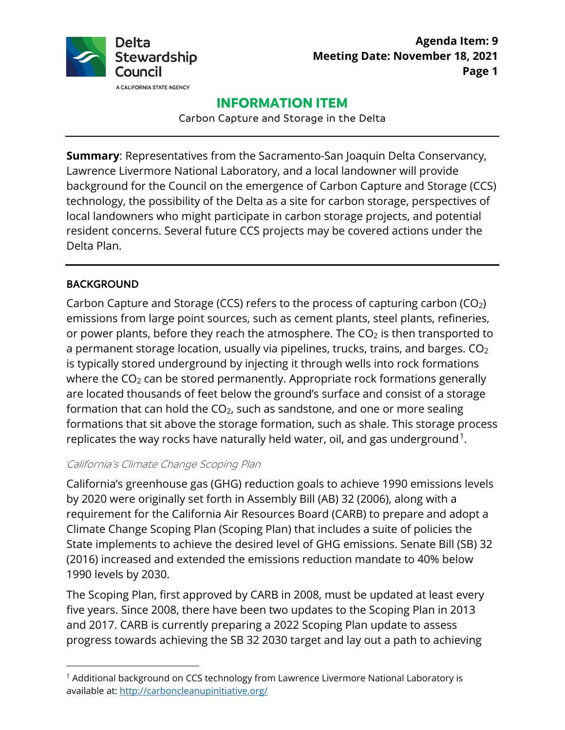

# **INFORMATION ITEM**

Carbon Capture and Storage in the Delta

**Summary**: Representatives from the Sacramento-San Joaquin Delta Conservancy, Lawrence Livermore National Laboratory, and a local landowner will provide background for the Council on the emergence of Carbon Capture and Storage (CCS) technology, the possibility of the Delta as a site for carbon storage, perspectives of local landowners who might participate in carbon storage projects, and potential resident concerns. Several future CCS projects may be covered actions under the Delta Plan.

# BACKGROUND

replicates the way rocks have naturally held water, oil, and gas underground.<sup>1</sup>. Carbon Capture and Storage (CCS) refers to the process of capturing carbon (CO<sub>2</sub>) emissions from large point sources, such as cement plants, steel plants, refineries, or power plants, before they reach the atmosphere. The  $CO<sub>2</sub>$  is then transported to a permanent storage location, usually via pipelines, trucks, trains, and barges.  $CO<sub>2</sub>$ is typically stored underground by injecting it through wells into rock formations where the  $CO<sub>2</sub>$  can be stored permanently. Appropriate rock formations generally are located thousands of feet below the ground's surface and consist of a storage formation that can hold the  $CO<sub>2</sub>$ , such as sandstone, and one or more sealing formations that sit above the storage formation, such as shale. This storage process

## California's Climate Change Scoping Plan

California's greenhouse gas (GHG) reduction goals to achieve 1990 emissions levels by 2020 were originally set forth in Assembly Bill (AB) 32 (2006), along with a requirement for the California Air Resources Board (CARB) to prepare and adopt a Climate Change Scoping Plan (Scoping Plan) that includes a suite of policies the State implements to achieve the desired level of GHG emissions. Senate Bill (SB) 32 (2016) increased and extended the emissions reduction mandate to 40% below 1990 levels by 2030.

The Scoping Plan, first approved by CARB in 2008, must be updated at least every five years. Since 2008, there have been two updates to the Scoping Plan in 2013 and 2017. CARB is currently preparing a 2022 Scoping Plan update to assess progress towards achieving the SB 32 2030 target and lay out a path to achieving

<sup>&</sup>lt;sup>1</sup> Additional background on CCS technology from Lawrence Livermore National Laboratory is available at:<http://carboncleanupinitiative.org/>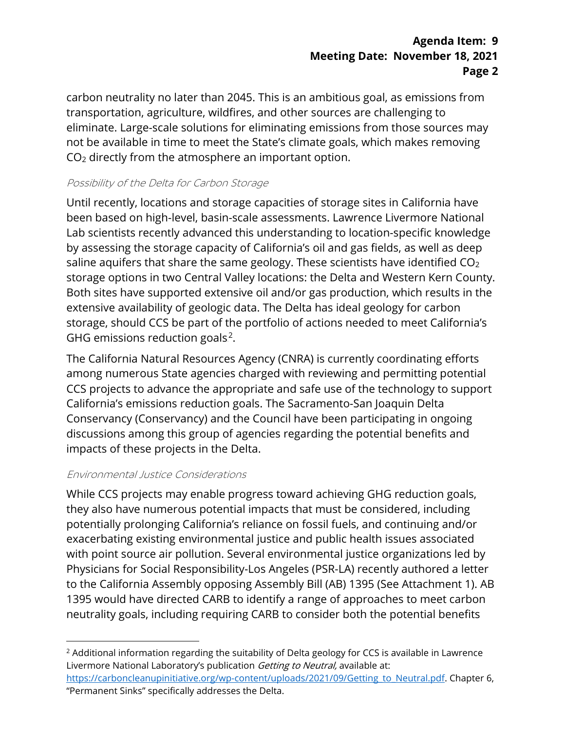# **Agenda Item: 9 Meeting Date: November 18, 2021 Page 2**

carbon neutrality no later than 2045. This is an ambitious goal, as emissions from transportation, agriculture, wildfires, and other sources are challenging to eliminate. Large-scale solutions for eliminating emissions from those sources may not be available in time to meet the State's climate goals, which makes removing CO2 directly from the atmosphere an important option.

## Possibility of the Delta for Carbon Storage

Until recently, locations and storage capacities of storage sites in California have been based on high-level, basin-scale assessments. Lawrence Livermore National Lab scientists recently advanced this understanding to location-specific knowledge by assessing the storage capacity of California's oil and gas fields, as well as deep saline aquifers that share the same geology. These scientists have identified  $CO<sub>2</sub>$ storage options in two Central Valley locations: the Delta and Western Kern County. Both sites have supported extensive oil and/or gas production, which results in the extensive availability of geologic data. The Delta has ideal geology for carbon storage, should CCS be part of the portfolio of actions needed to meet California's GHG emissions reduction goals $^2$ .

The California Natural Resources Agency (CNRA) is currently coordinating efforts among numerous State agencies charged with reviewing and permitting potential CCS projects to advance the appropriate and safe use of the technology to support California's emissions reduction goals. The Sacramento-San Joaquin Delta Conservancy (Conservancy) and the Council have been participating in ongoing discussions among this group of agencies regarding the potential benefits and impacts of these projects in the Delta.

## Environmental Justice Considerations

While CCS projects may enable progress toward achieving GHG reduction goals, they also have numerous potential impacts that must be considered, including potentially prolonging California's reliance on fossil fuels, and continuing and/or exacerbating existing environmental justice and public health issues associated with point source air pollution. Several environmental justice organizations led by Physicians for Social Responsibility-Los Angeles (PSR-LA) recently authored a letter to the California Assembly opposing Assembly Bill (AB) 1395 (See Attachment 1). AB 1395 would have directed CARB to identify a range of approaches to meet carbon neutrality goals, including requiring CARB to consider both the potential benefits

<sup>&</sup>lt;sup>2</sup> Additional information regarding the suitability of Delta geology for CCS is available in Lawrence Livermore National Laboratory's publication Getting to Neutral, available at:

https://carboncleanupinitiative.org/wp-content/uploads/2021/09/Getting to Neutral.pdf. Chapter 6, "Permanent Sinks" specifically addresses the Delta.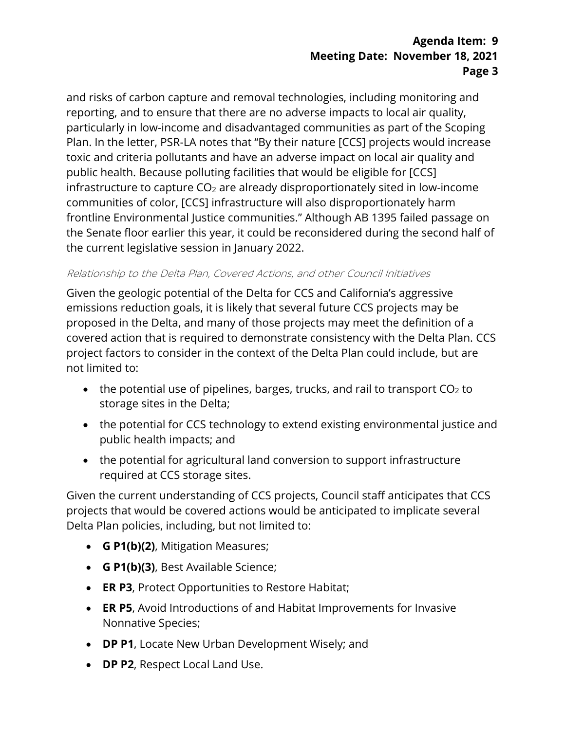# **Agenda Item: 9 Meeting Date: November 18, 2021 Page 3**

and risks of carbon capture and removal technologies, including monitoring and reporting, and to ensure that there are no adverse impacts to local air quality, particularly in low-income and disadvantaged communities as part of the Scoping Plan. In the letter, PSR-LA notes that "By their nature [CCS] projects would increase toxic and criteria pollutants and have an adverse impact on local air quality and public health. Because polluting facilities that would be eligible for [CCS] infrastructure to capture  $CO<sub>2</sub>$  are already disproportionately sited in low-income communities of color, [CCS] infrastructure will also disproportionately harm frontline Environmental Justice communities." Although AB 1395 failed passage on the Senate floor earlier this year, it could be reconsidered during the second half of the current legislative session in January 2022.

#### Relationship to the Delta Plan, Covered Actions, and other Council Initiatives

Given the geologic potential of the Delta for CCS and California's aggressive emissions reduction goals, it is likely that several future CCS projects may be proposed in the Delta, and many of those projects may meet the definition of a covered action that is required to demonstrate consistency with the Delta Plan. CCS project factors to consider in the context of the Delta Plan could include, but are not limited to:

- the potential use of pipelines, barges, trucks, and rail to transport  $CO<sub>2</sub>$  to storage sites in the Delta;
- the potential for CCS technology to extend existing environmental justice and public health impacts; and
- the potential for agricultural land conversion to support infrastructure required at CCS storage sites.

Given the current understanding of CCS projects, Council staff anticipates that CCS projects that would be covered actions would be anticipated to implicate several Delta Plan policies, including, but not limited to:

- **G P1(b)(2)**, Mitigation Measures;
- **G P1(b)(3)**, Best Available Science;
- **ER P3**, Protect Opportunities to Restore Habitat;
- **ER P5**, Avoid Introductions of and Habitat Improvements for Invasive Nonnative Species;
- **DP P1**, Locate New Urban Development Wisely; and
- **DP P2**, Respect Local Land Use.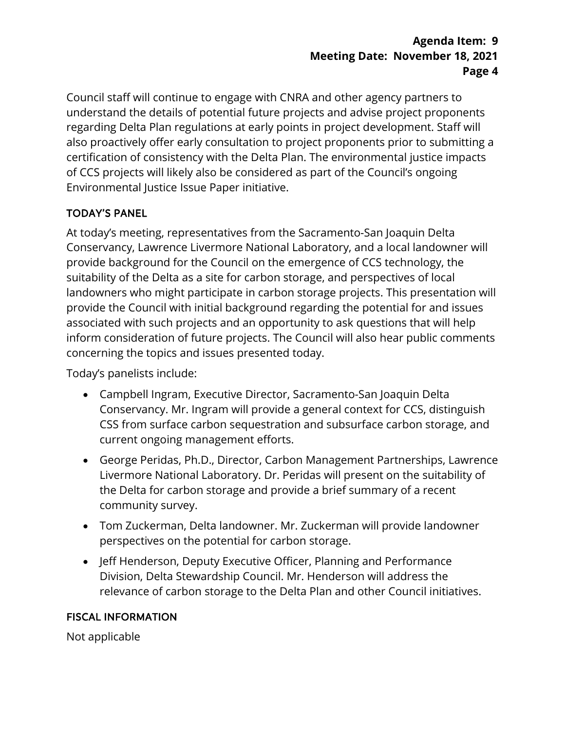# **Agenda Item: 9 Meeting Date: November 18, 2021 Page 4**

Council staff will continue to engage with CNRA and other agency partners to understand the details of potential future projects and advise project proponents regarding Delta Plan regulations at early points in project development. Staff will also proactively offer early consultation to project proponents prior to submitting a certification of consistency with the Delta Plan. The environmental justice impacts of CCS projects will likely also be considered as part of the Council's ongoing Environmental Justice Issue Paper initiative.

# TODAY'S PANEL

At today's meeting, representatives from the Sacramento-San Joaquin Delta Conservancy, Lawrence Livermore National Laboratory, and a local landowner will provide background for the Council on the emergence of CCS technology, the suitability of the Delta as a site for carbon storage, and perspectives of local landowners who might participate in carbon storage projects. This presentation will provide the Council with initial background regarding the potential for and issues associated with such projects and an opportunity to ask questions that will help inform consideration of future projects. The Council will also hear public comments concerning the topics and issues presented today.

Today's panelists include:

- Campbell Ingram, Executive Director, Sacramento-San Joaquin Delta Conservancy. Mr. Ingram will provide a general context for CCS, distinguish CSS from surface carbon sequestration and subsurface carbon storage, and current ongoing management efforts.
- George Peridas, Ph.D., Director, Carbon Management Partnerships, Lawrence Livermore National Laboratory. Dr. Peridas will present on the suitability of the Delta for carbon storage and provide a brief summary of a recent community survey.
- Tom Zuckerman, Delta landowner. Mr. Zuckerman will provide landowner perspectives on the potential for carbon storage.
- Jeff Henderson, Deputy Executive Officer, Planning and Performance Division, Delta Stewardship Council. Mr. Henderson will address the relevance of carbon storage to the Delta Plan and other Council initiatives.

# FISCAL INFORMATION

Not applicable